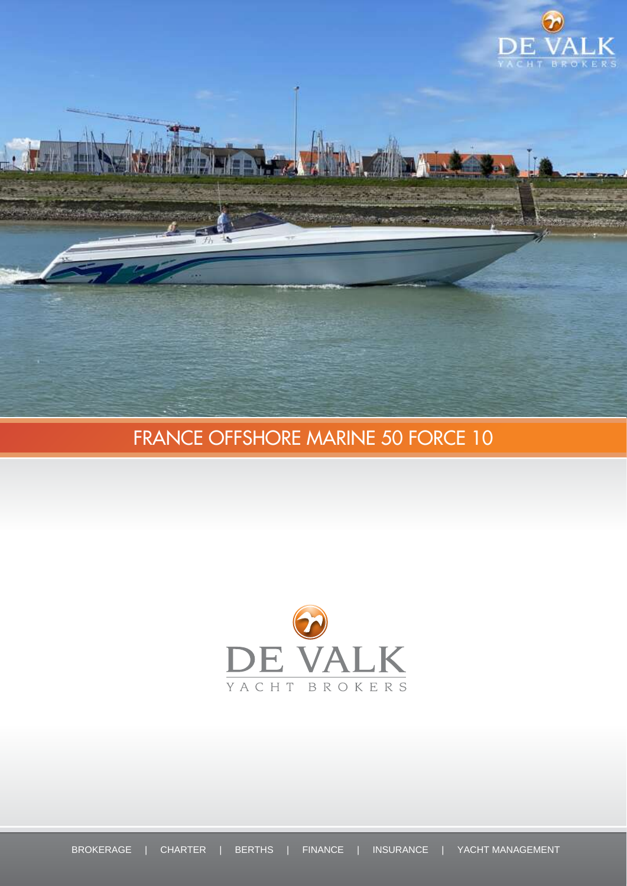

# **[FRANCE OFFSHORE MARINE 50 FORCE 10](https://www.devalk.nl/en/yachtbrokerage/204459/FRANCE-OFFSHORE-MARINE-50-FORCE-10.html)**

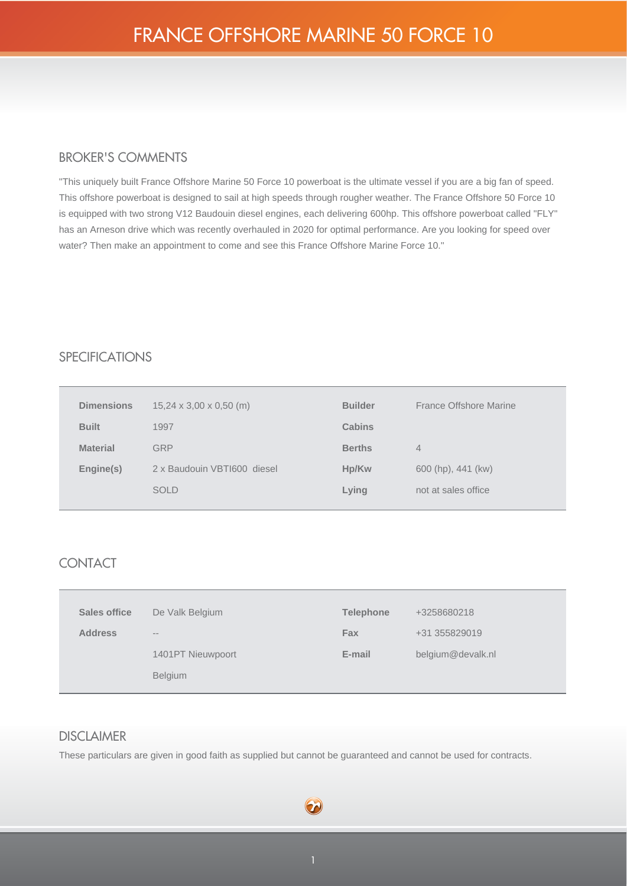#### **BROKER'S COMMENTS**

''This uniquely built France Offshore Marine 50 Force 10 powerboat is the ultimate vessel if you are a big fan of speed. This offshore powerboat is designed to sail at high speeds through rougher weather. The France Offshore 50 Force 10 is equipped with two strong V12 Baudouin diesel engines, each delivering 600hp. This offshore powerboat called "FLY" has an Arneson drive which was recently overhauled in 2020 for optimal performance. Are you looking for speed over water? Then make an appointment to come and see this France Offshore Marine Force 10.''

#### **SPECIFICATIONS**

| <b>Dimensions</b> | $15,24 \times 3,00 \times 0,50$ (m) | <b>Builder</b> | France Offshore Marine |
|-------------------|-------------------------------------|----------------|------------------------|
| <b>Built</b>      | 1997                                | Cabins         |                        |
| <b>Material</b>   | <b>GRP</b>                          | <b>Berths</b>  | 4                      |
| Engine(s)         | 2 x Baudouin VBTI600 diesel         | Hp/Kw          | 600 (hp), 441 (kw)     |
|                   | SOLD.                               | Lying          | not at sales office    |
|                   |                                     |                |                        |

#### **CONTACT**

| <b>Sales office</b> | De Valk Belgium   | <b>Telephone</b> | +3258680218       |
|---------------------|-------------------|------------------|-------------------|
| <b>Address</b>      | $\frac{1}{2}$     | <b>Fax</b>       | +31 355829019     |
|                     | 1401PT Nieuwpoort | E-mail           | belgium@devalk.nl |
|                     | <b>Belgium</b>    |                  |                   |

#### **DISCLAIMER**

These particulars are given in good faith as supplied but cannot be guaranteed and cannot be used for contracts.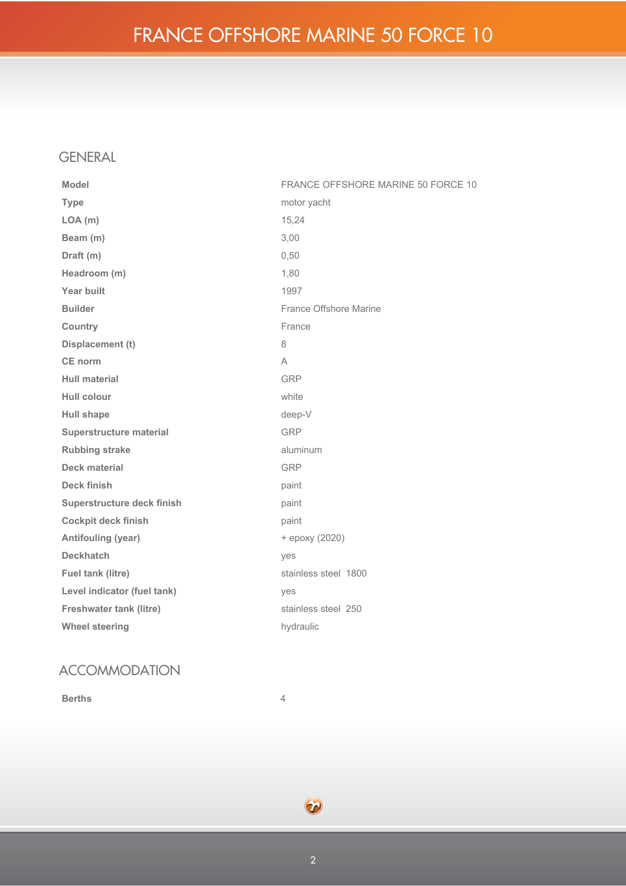## **GENERAL**

| <b>Model</b>                      | <b>FRANCE OFFSHORE MARINE 50 FORCE 10</b> |
|-----------------------------------|-------------------------------------------|
| <b>Type</b>                       | motor yacht                               |
| LOA(m)                            | 15,24                                     |
| Beam (m)                          | 3,00                                      |
| Draft (m)                         | 0,50                                      |
| Headroom (m)                      | 1,80                                      |
| <b>Year built</b>                 | 1997                                      |
| <b>Builder</b>                    | France Offshore Marine                    |
| Country                           | France                                    |
| Displacement (t)                  | 8                                         |
| CE norm                           | $\overline{A}$                            |
| <b>Hull material</b>              | <b>GRP</b>                                |
| <b>Hull colour</b>                | white                                     |
| <b>Hull shape</b>                 | deep-V                                    |
| <b>Superstructure material</b>    | <b>GRP</b>                                |
| <b>Rubbing strake</b>             | aluminum                                  |
| Deck material                     | <b>GRP</b>                                |
| Deck finish                       | paint                                     |
| <b>Superstructure deck finish</b> | paint                                     |
| <b>Cockpit deck finish</b>        | paint                                     |
| Antifouling (year)                | + ероху (2020)                            |
| <b>Deckhatch</b>                  | ves                                       |
| Fuel tank (litre)                 | stainless steel 1800                      |
| Level indicator (fuel tank)       | yes                                       |
| <b>Freshwater tank (litre)</b>    | stainless steel 250                       |
| <b>Wheel steering</b>             | hydraulic                                 |

#### **ACCOMMODATION**

**Berths 4**

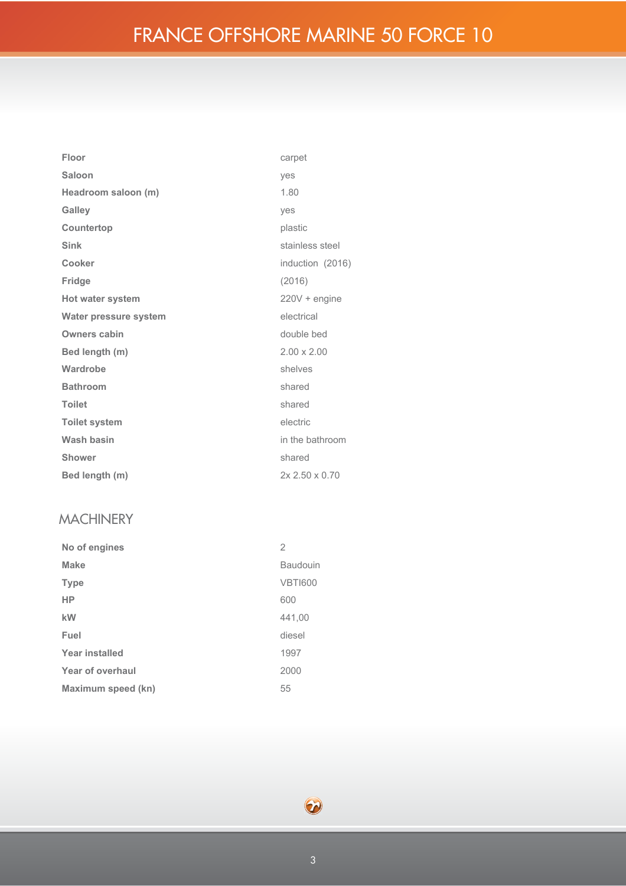| Floor                   | carpet             |
|-------------------------|--------------------|
| Saloon                  | yes                |
| Headroom saloon (m)     | 1.80               |
| Galley                  | ves                |
| Countertop              | plastic            |
| <b>Sink</b>             | stainless steel    |
| Cooker                  | induction (2016)   |
| <b>Fridge</b>           | (2016)             |
| <b>Hot water system</b> | $220V + engine$    |
| Water pressure system   | electrical         |
| <b>Owners cabin</b>     | double bed         |
| Bed length (m)          | $2.00 \times 2.00$ |
| Wardrobe                | shelves            |
| <b>Bathroom</b>         | shared             |
| <b>Toilet</b>           | shared             |
| <b>Toilet system</b>    | electric           |
| Wash basin              | in the bathroom    |
| <b>Shower</b>           | shared             |
| Bed length (m)          | 2x 2.50 x 0.70     |

### **MACHINERY**

| No of engines      | $\overline{2}$ |
|--------------------|----------------|
| <b>Make</b>        | Baudouin       |
| <b>Type</b>        | <b>VBTI600</b> |
| <b>HP</b>          | 600            |
| kW                 | 441,00         |
| Fuel               | diesel         |
| Year installed     | 1997           |
| Year of overhaul   | 2000           |
| Maximum speed (kn) | 55             |
|                    |                |

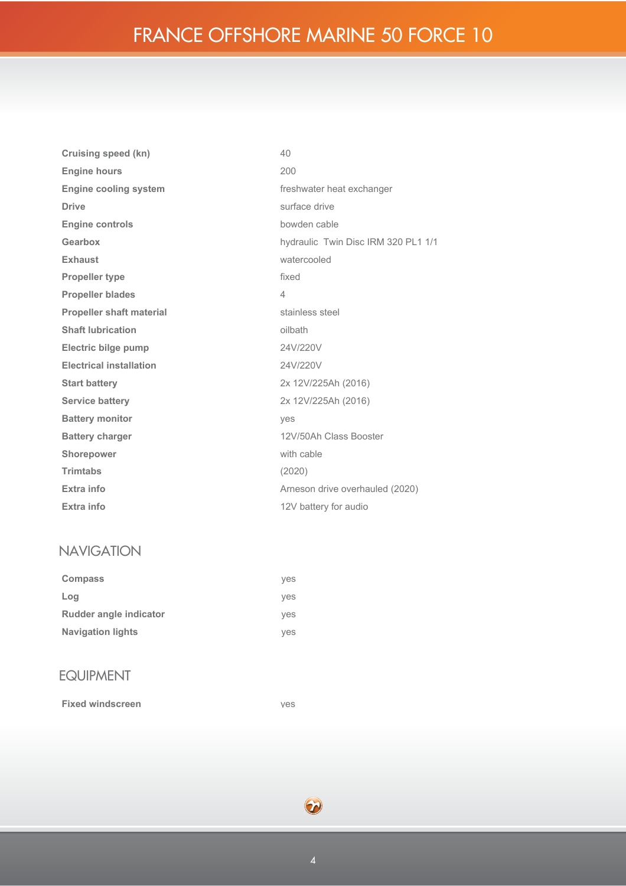| <b>Cruising speed (kn)</b>      | 40                                  |
|---------------------------------|-------------------------------------|
| <b>Engine hours</b>             | 200                                 |
| <b>Engine cooling system</b>    | freshwater heat exchanger           |
| <b>Drive</b>                    | surface drive                       |
| <b>Engine controls</b>          | bowden cable                        |
| Gearbox                         | hydraulic Twin Disc IRM 320 PL1 1/1 |
| <b>Exhaust</b>                  | watercooled                         |
| <b>Propeller type</b>           | fixed                               |
| <b>Propeller blades</b>         | 4                                   |
| <b>Propeller shaft material</b> | stainless steel                     |
| <b>Shaft lubrication</b>        | oilbath                             |
| Electric bilge pump             | 24V/220V                            |
| <b>Electrical installation</b>  | 24V/220V                            |
| <b>Start battery</b>            | 2x 12V/225Ah (2016)                 |
| <b>Service battery</b>          | 2x 12V/225Ah (2016)                 |
| <b>Battery monitor</b>          | yes                                 |
| <b>Battery charger</b>          | 12V/50Ah Class Booster              |
| Shorepower                      | with cable                          |
| <b>Trimtabs</b>                 | (2020)                              |
| Extra info                      | Arneson drive overhauled (2020)     |
| Extra info                      | 12V battery for audio               |

## **NAVIGATION**

| <b>Compass</b>           | ves |
|--------------------------|-----|
| Log                      | ves |
| Rudder angle indicator   | ves |
| <b>Navigation lights</b> | ves |

### **EQUIPMENT**

**Fixed windscreen yes**



**4**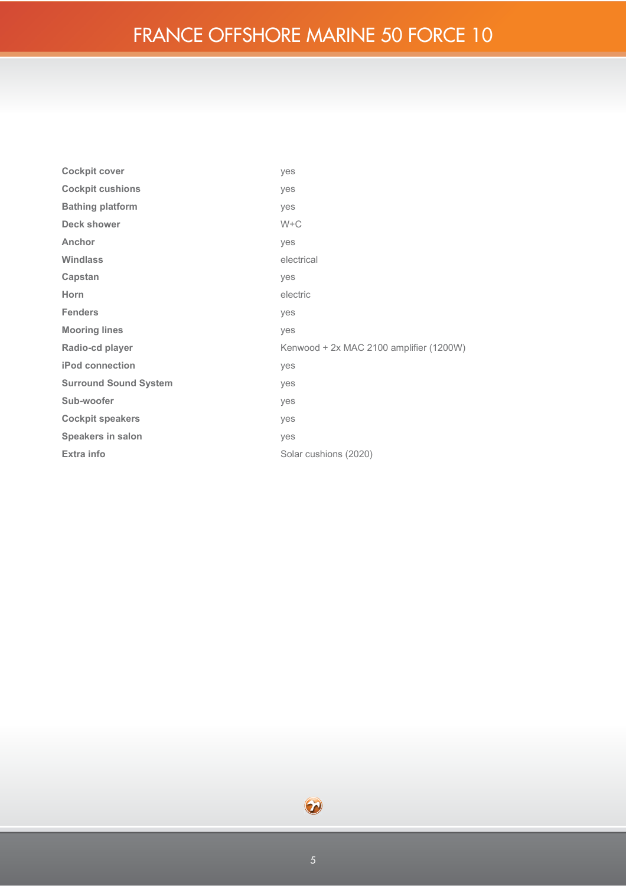# **[FRANCE OFFSHORE MARINE 50 FORCE 10](https://www.devalk.nl/en/yachtbrokerage/204459/FRANCE-OFFSHORE-MARINE-50-FORCE-10.html)**

| <b>Cockpit cover</b>         | yes                                     |
|------------------------------|-----------------------------------------|
| <b>Cockpit cushions</b>      | yes                                     |
| <b>Bathing platform</b>      | yes                                     |
| Deck shower                  | $W + C$                                 |
| Anchor                       | yes                                     |
| <b>Windlass</b>              | electrical                              |
| Capstan                      | yes                                     |
| Horn                         | electric                                |
| <b>Fenders</b>               | yes                                     |
| <b>Mooring lines</b>         | yes                                     |
| Radio-cd player              | Kenwood + 2x MAC 2100 amplifier (1200W) |
| <b>iPod connection</b>       | yes                                     |
| <b>Surround Sound System</b> | yes                                     |
| Sub-woofer                   | yes                                     |
| <b>Cockpit speakers</b>      | yes                                     |
| <b>Speakers in salon</b>     | yes                                     |
| Extra info                   | Solar cushions (2020)                   |

 $\bigodot$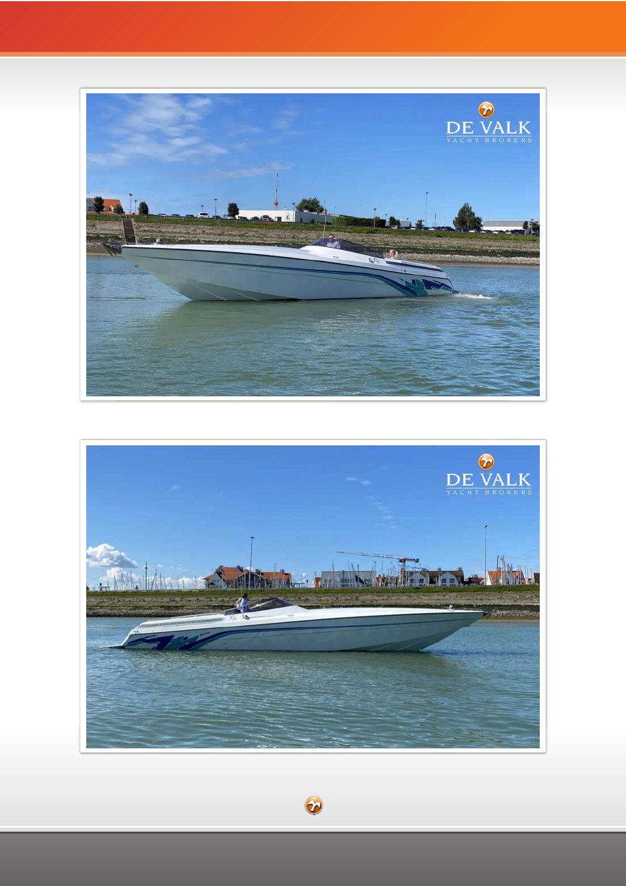# $15$1&8(2)16+25(0$5,1(7))25&($



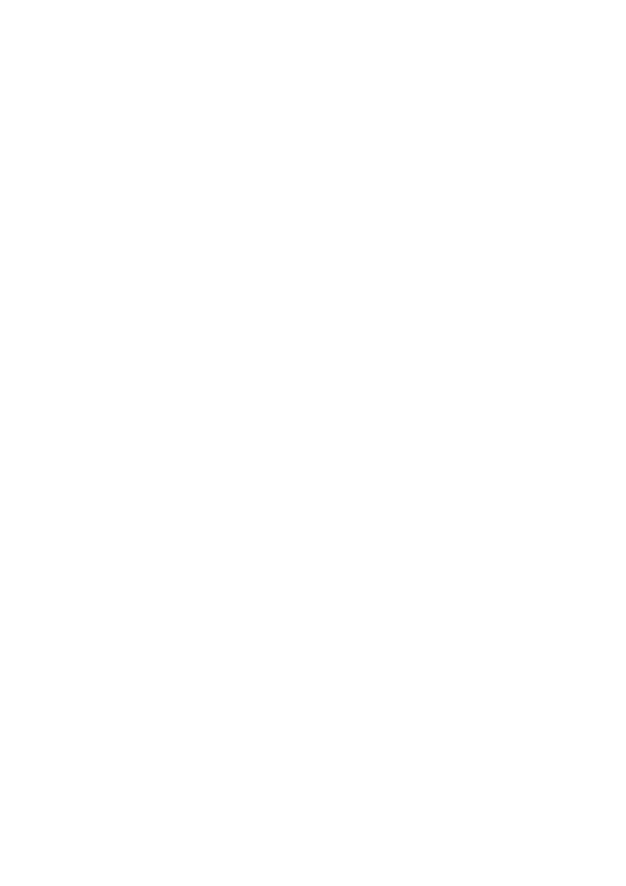| ---- |  |
|------|--|
|      |  |
|      |  |
|      |  |
|      |  |
|      |  |
|      |  |
|      |  |
|      |  |
|      |  |
|      |  |
|      |  |
|      |  |
|      |  |
|      |  |
|      |  |
|      |  |
|      |  |
|      |  |
|      |  |
|      |  |
|      |  |
|      |  |
|      |  |
|      |  |
|      |  |
|      |  |
|      |  |
|      |  |
|      |  |
|      |  |
|      |  |
|      |  |
|      |  |
|      |  |
|      |  |
|      |  |
|      |  |
|      |  |
|      |  |
|      |  |
|      |  |
|      |  |
|      |  |
|      |  |
|      |  |
|      |  |
|      |  |
|      |  |
|      |  |
|      |  |
|      |  |
|      |  |
|      |  |
|      |  |
|      |  |
|      |  |
|      |  |
|      |  |

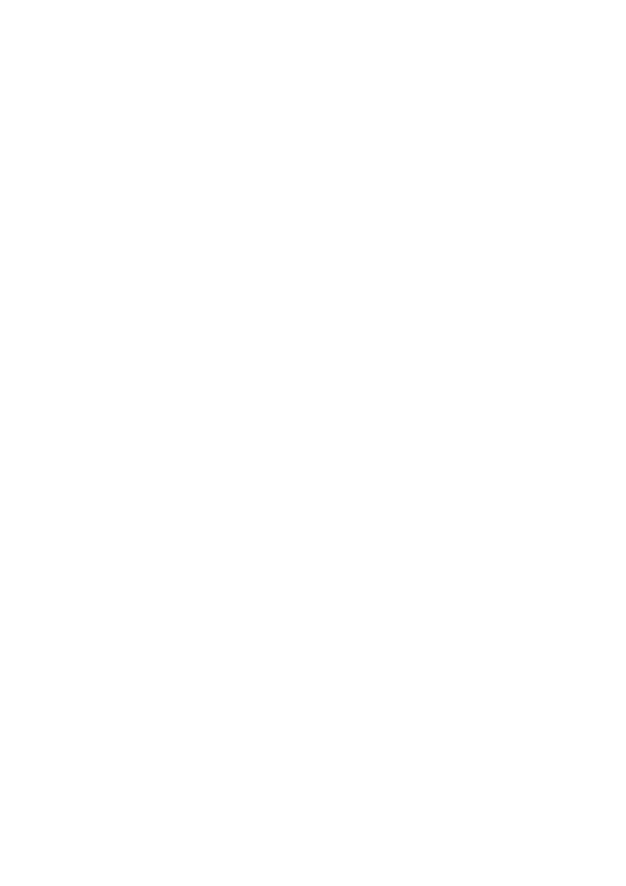| ---- |  |
|------|--|
|      |  |
|      |  |
|      |  |
|      |  |
|      |  |
|      |  |
|      |  |
|      |  |
|      |  |
|      |  |
|      |  |
|      |  |
|      |  |
|      |  |
|      |  |
|      |  |
|      |  |
|      |  |
|      |  |
|      |  |
|      |  |
|      |  |
|      |  |
|      |  |
|      |  |
|      |  |
|      |  |
|      |  |
|      |  |
|      |  |
|      |  |
|      |  |
|      |  |
|      |  |
|      |  |
|      |  |
|      |  |
|      |  |
|      |  |
|      |  |
|      |  |
|      |  |
|      |  |
|      |  |
|      |  |
|      |  |
|      |  |
|      |  |
|      |  |
|      |  |
|      |  |
|      |  |
|      |  |
|      |  |
|      |  |
|      |  |
|      |  |
|      |  |

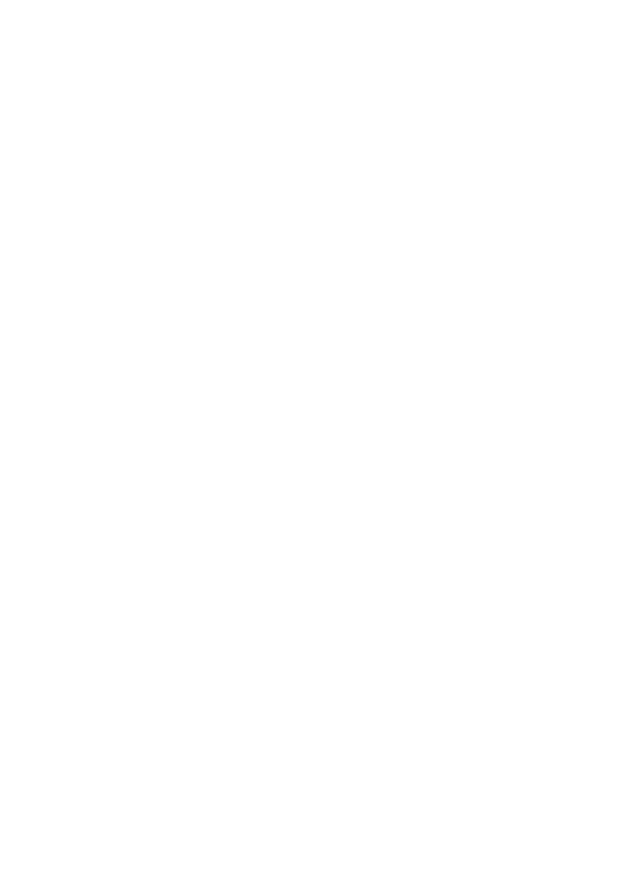| ---- |  |
|------|--|
|      |  |
|      |  |
|      |  |
|      |  |
|      |  |
|      |  |
|      |  |
|      |  |
|      |  |
|      |  |
|      |  |
|      |  |
|      |  |
|      |  |
|      |  |
|      |  |
|      |  |
|      |  |
|      |  |
|      |  |
|      |  |
|      |  |
|      |  |
|      |  |
|      |  |
|      |  |
|      |  |
|      |  |
|      |  |
|      |  |
|      |  |
|      |  |
|      |  |
|      |  |
|      |  |
|      |  |
|      |  |
|      |  |
|      |  |
|      |  |
|      |  |
|      |  |
|      |  |
|      |  |
|      |  |
|      |  |
|      |  |
|      |  |
|      |  |
|      |  |
|      |  |
|      |  |
|      |  |
|      |  |
|      |  |
|      |  |
|      |  |
|      |  |

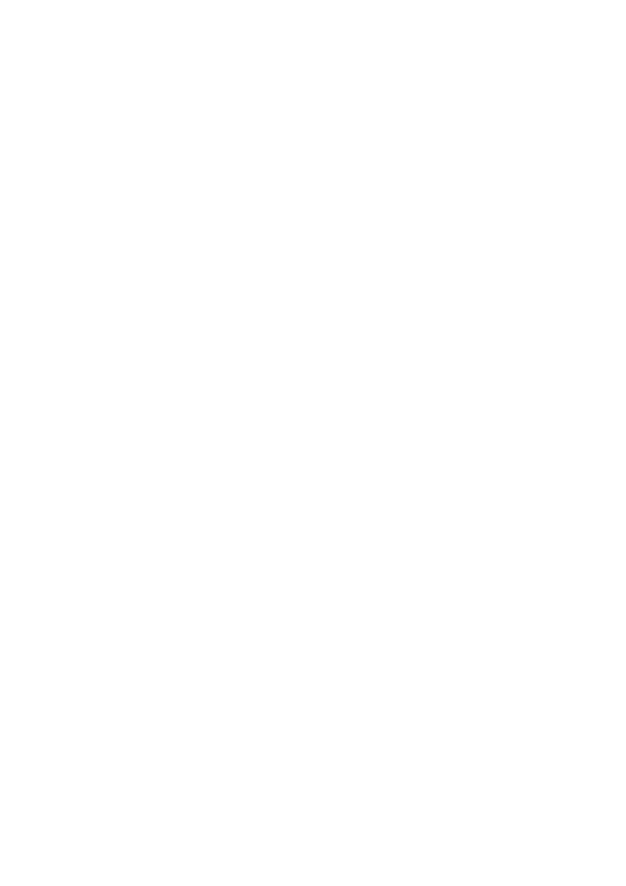| ---- |  |
|------|--|
|      |  |
|      |  |
|      |  |
|      |  |
|      |  |
|      |  |
|      |  |
|      |  |
|      |  |
|      |  |
|      |  |
|      |  |
|      |  |
|      |  |
|      |  |
|      |  |
|      |  |
|      |  |
|      |  |
|      |  |
|      |  |
|      |  |
|      |  |
|      |  |
|      |  |
|      |  |
|      |  |
|      |  |
|      |  |
|      |  |
|      |  |
|      |  |
|      |  |
|      |  |
|      |  |
|      |  |
|      |  |
|      |  |
|      |  |
|      |  |
|      |  |
|      |  |
|      |  |
|      |  |
|      |  |
|      |  |
|      |  |
|      |  |
|      |  |
|      |  |
|      |  |
|      |  |
|      |  |
|      |  |
|      |  |
|      |  |
|      |  |
|      |  |

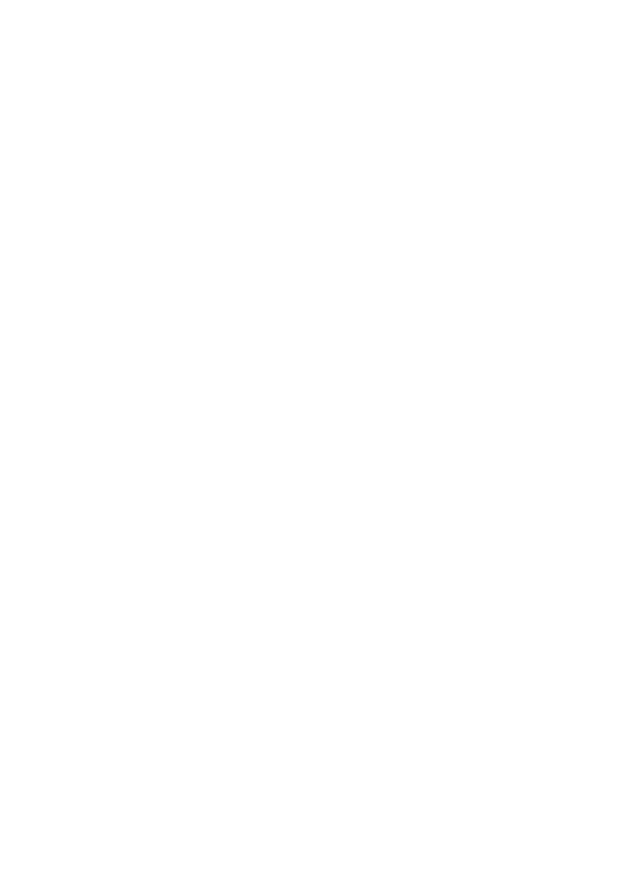| ---- |  |
|------|--|
|      |  |
|      |  |
|      |  |
|      |  |
|      |  |
|      |  |
|      |  |
|      |  |
|      |  |
|      |  |
|      |  |
|      |  |
|      |  |
|      |  |
|      |  |
|      |  |
|      |  |
|      |  |
|      |  |
|      |  |
|      |  |
|      |  |
|      |  |
|      |  |
|      |  |
|      |  |
|      |  |
|      |  |
|      |  |
|      |  |
|      |  |
|      |  |
|      |  |
|      |  |
|      |  |
|      |  |
|      |  |
|      |  |
|      |  |
|      |  |
|      |  |
|      |  |
|      |  |
|      |  |
|      |  |
|      |  |
|      |  |
|      |  |
|      |  |
|      |  |
|      |  |
|      |  |
|      |  |
|      |  |
|      |  |
|      |  |
|      |  |
|      |  |

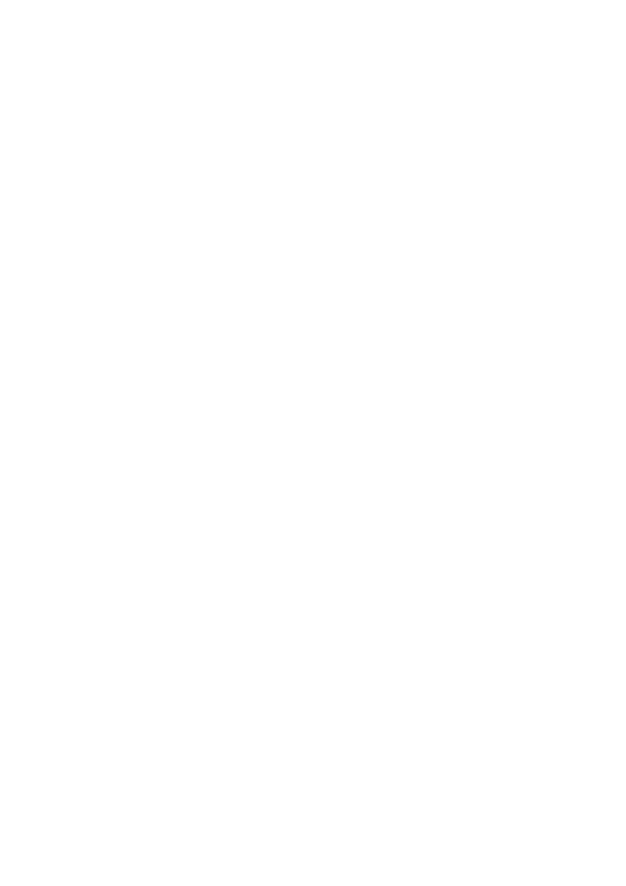| ---- |  |
|------|--|
|      |  |
|      |  |
|      |  |
|      |  |
|      |  |
|      |  |
|      |  |
|      |  |
|      |  |
|      |  |
|      |  |
|      |  |
|      |  |
|      |  |
|      |  |
|      |  |
|      |  |
|      |  |
|      |  |
|      |  |
|      |  |
|      |  |
|      |  |
|      |  |
|      |  |
|      |  |
|      |  |
|      |  |
|      |  |
|      |  |
|      |  |
|      |  |
|      |  |
|      |  |
|      |  |
|      |  |
|      |  |
|      |  |
|      |  |
|      |  |
|      |  |
|      |  |
|      |  |
|      |  |
|      |  |
|      |  |
|      |  |
|      |  |
|      |  |
|      |  |
|      |  |
|      |  |
|      |  |
|      |  |
|      |  |
|      |  |
|      |  |
|      |  |

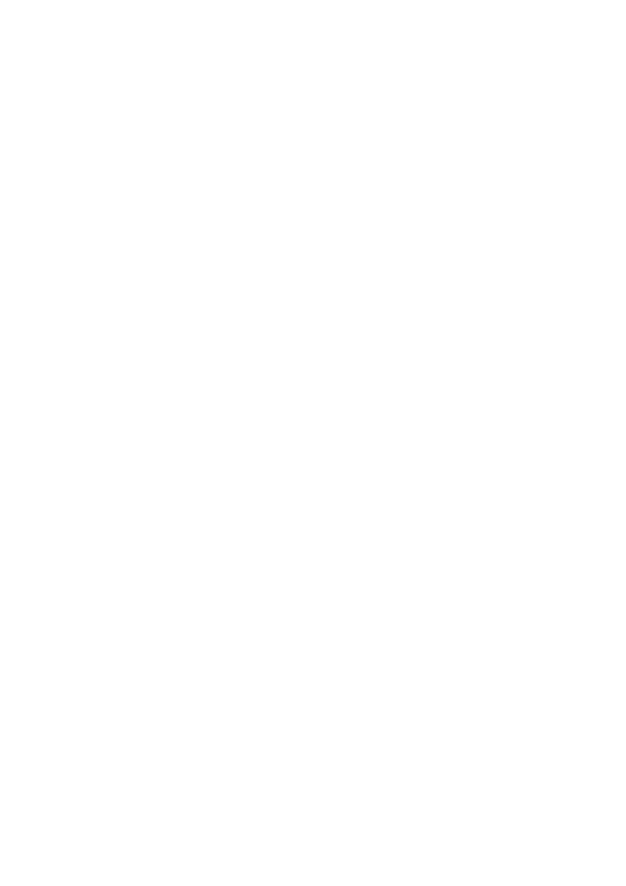| ---- |  |
|------|--|
|      |  |
|      |  |
|      |  |
|      |  |
|      |  |
|      |  |
|      |  |
|      |  |
|      |  |
|      |  |
|      |  |
|      |  |
|      |  |
|      |  |
|      |  |
|      |  |
|      |  |
|      |  |
|      |  |
|      |  |
|      |  |
|      |  |
|      |  |
|      |  |
|      |  |
|      |  |
|      |  |
|      |  |
|      |  |
|      |  |
|      |  |
|      |  |
|      |  |
|      |  |
|      |  |
|      |  |
|      |  |
|      |  |
|      |  |
|      |  |
|      |  |
|      |  |
|      |  |
|      |  |
|      |  |
|      |  |
|      |  |
|      |  |
|      |  |
|      |  |
|      |  |
|      |  |
|      |  |
|      |  |
|      |  |
|      |  |
|      |  |
|      |  |

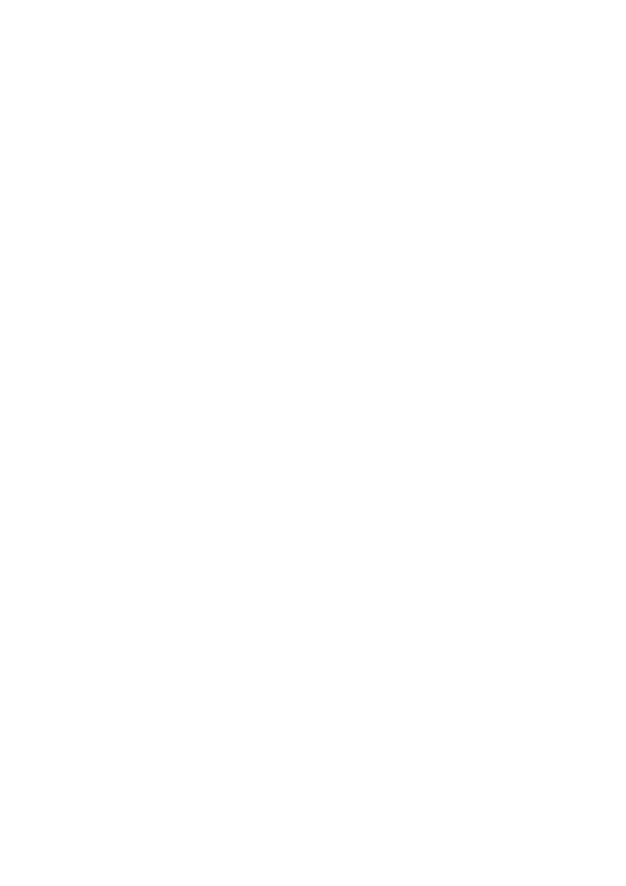| ---- |  |
|------|--|
|      |  |
|      |  |
|      |  |
|      |  |
|      |  |
|      |  |
|      |  |
|      |  |
|      |  |
|      |  |
|      |  |
|      |  |
|      |  |
|      |  |
|      |  |
|      |  |
|      |  |
|      |  |
|      |  |
|      |  |
|      |  |
|      |  |
|      |  |
|      |  |
|      |  |
|      |  |
|      |  |
|      |  |
|      |  |
|      |  |
|      |  |
|      |  |
|      |  |
|      |  |
|      |  |
|      |  |
|      |  |
|      |  |
|      |  |
|      |  |
|      |  |
|      |  |
|      |  |
|      |  |
|      |  |
|      |  |
|      |  |
|      |  |
|      |  |
|      |  |
|      |  |
|      |  |
|      |  |
|      |  |
|      |  |
|      |  |
|      |  |
|      |  |

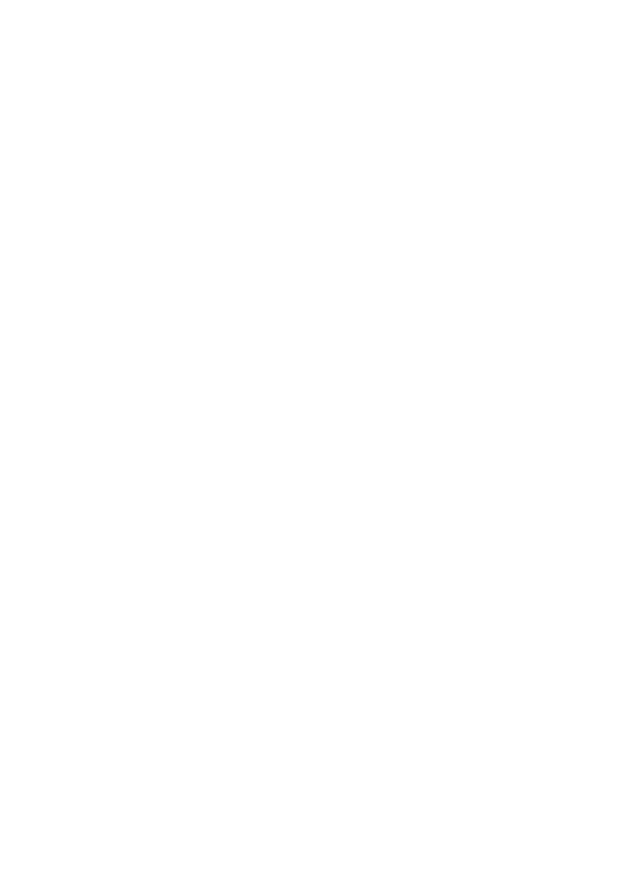| ---- |  |
|------|--|
|      |  |
|      |  |
|      |  |
|      |  |
|      |  |
|      |  |
|      |  |
|      |  |
|      |  |
|      |  |
|      |  |
|      |  |
|      |  |
|      |  |
|      |  |
|      |  |
|      |  |
|      |  |
|      |  |
|      |  |
|      |  |
|      |  |
|      |  |
|      |  |
|      |  |
|      |  |
|      |  |
|      |  |
|      |  |
|      |  |
|      |  |
|      |  |
|      |  |
|      |  |
|      |  |
|      |  |
|      |  |
|      |  |
|      |  |
|      |  |
|      |  |
|      |  |
|      |  |
|      |  |
|      |  |
|      |  |
|      |  |
|      |  |
|      |  |
|      |  |
|      |  |
|      |  |
|      |  |
|      |  |
|      |  |
|      |  |
|      |  |
|      |  |

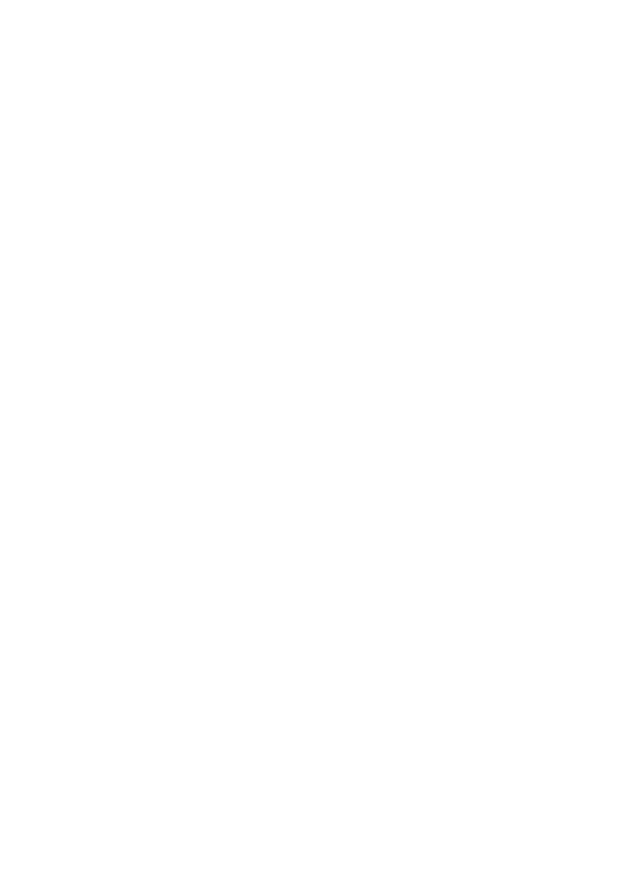| ---- |  |
|------|--|
|      |  |
|      |  |
|      |  |
|      |  |
|      |  |
|      |  |
|      |  |
|      |  |
|      |  |
|      |  |
|      |  |
|      |  |
|      |  |
|      |  |
|      |  |
|      |  |
|      |  |
|      |  |
|      |  |
|      |  |
|      |  |
|      |  |
|      |  |
|      |  |
|      |  |
|      |  |
|      |  |
|      |  |
|      |  |
|      |  |
|      |  |
|      |  |
|      |  |
|      |  |
|      |  |
|      |  |
|      |  |
|      |  |
|      |  |
|      |  |
|      |  |
|      |  |
|      |  |
|      |  |
|      |  |
|      |  |
|      |  |
|      |  |
|      |  |
|      |  |
|      |  |
|      |  |
|      |  |
|      |  |
|      |  |
|      |  |
|      |  |
|      |  |

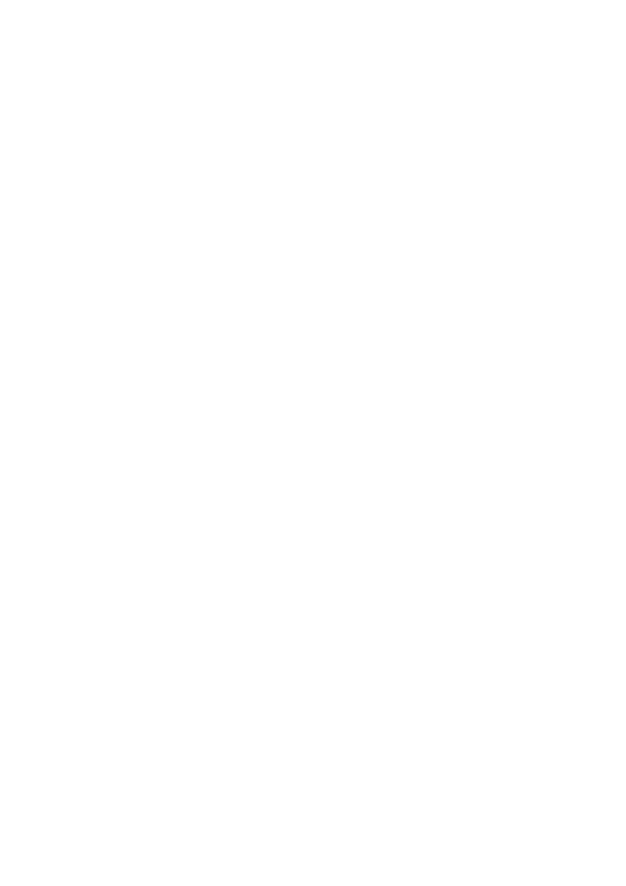| ---- |  |
|------|--|
|      |  |
|      |  |
|      |  |
|      |  |
|      |  |
|      |  |
|      |  |
|      |  |
|      |  |
|      |  |
|      |  |
|      |  |
|      |  |
|      |  |
|      |  |
|      |  |
|      |  |
|      |  |
|      |  |
|      |  |
|      |  |
|      |  |
|      |  |
|      |  |
|      |  |
|      |  |
|      |  |
|      |  |
|      |  |
|      |  |
|      |  |
|      |  |
|      |  |
|      |  |
|      |  |
|      |  |
|      |  |
|      |  |
|      |  |
|      |  |
|      |  |
|      |  |
|      |  |
|      |  |
|      |  |
|      |  |
|      |  |
|      |  |
|      |  |
|      |  |
|      |  |
|      |  |
|      |  |
|      |  |
|      |  |
|      |  |
|      |  |
|      |  |

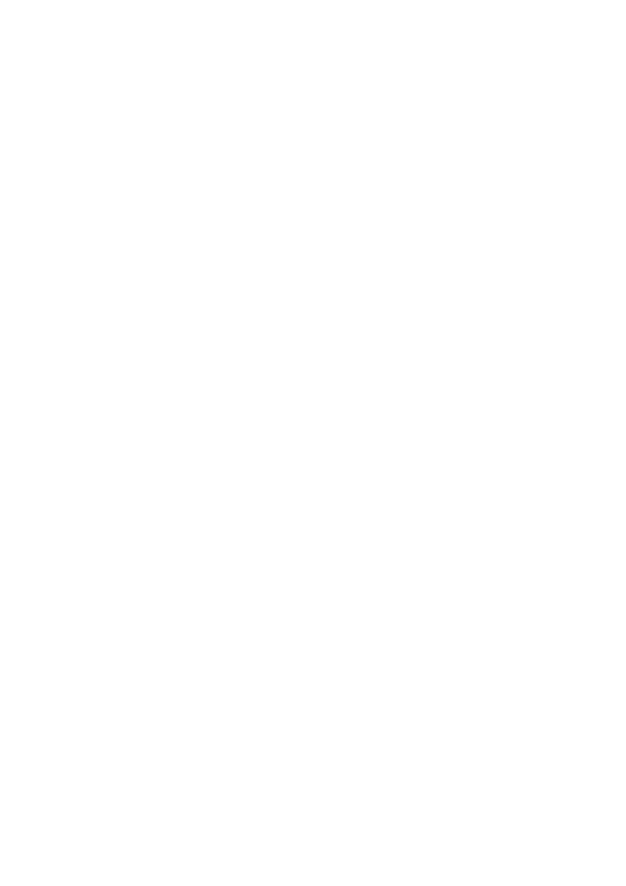| ---- |  |
|------|--|
|      |  |
|      |  |
|      |  |
|      |  |
|      |  |
|      |  |
|      |  |
|      |  |
|      |  |
|      |  |
|      |  |
|      |  |
|      |  |
|      |  |
|      |  |
|      |  |
|      |  |
|      |  |
|      |  |
|      |  |
|      |  |
|      |  |
|      |  |
|      |  |
|      |  |
|      |  |
|      |  |
|      |  |
|      |  |
|      |  |
|      |  |
|      |  |
|      |  |
|      |  |
|      |  |
|      |  |
|      |  |
|      |  |
|      |  |
|      |  |
|      |  |
|      |  |
|      |  |
|      |  |
|      |  |
|      |  |
|      |  |
|      |  |
|      |  |
|      |  |
|      |  |
|      |  |
|      |  |
|      |  |
|      |  |
|      |  |
|      |  |
|      |  |

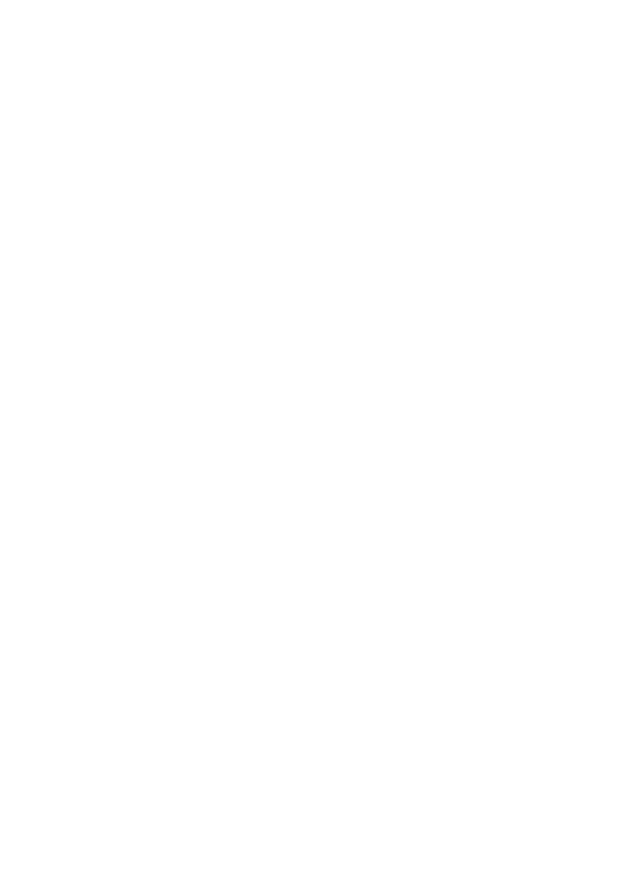| ---- |  |
|------|--|
|      |  |
|      |  |
|      |  |
|      |  |
|      |  |
|      |  |
|      |  |
|      |  |
|      |  |
|      |  |
|      |  |
|      |  |
|      |  |
|      |  |
|      |  |
|      |  |
|      |  |
|      |  |
|      |  |
|      |  |
|      |  |
|      |  |
|      |  |
|      |  |
|      |  |
|      |  |
|      |  |
|      |  |
|      |  |
|      |  |
|      |  |
|      |  |
|      |  |
|      |  |
|      |  |
|      |  |
|      |  |
|      |  |
|      |  |
|      |  |
|      |  |
|      |  |
|      |  |
|      |  |
|      |  |
|      |  |
|      |  |
|      |  |
|      |  |
|      |  |
|      |  |
|      |  |
|      |  |
|      |  |
|      |  |
|      |  |
|      |  |
|      |  |

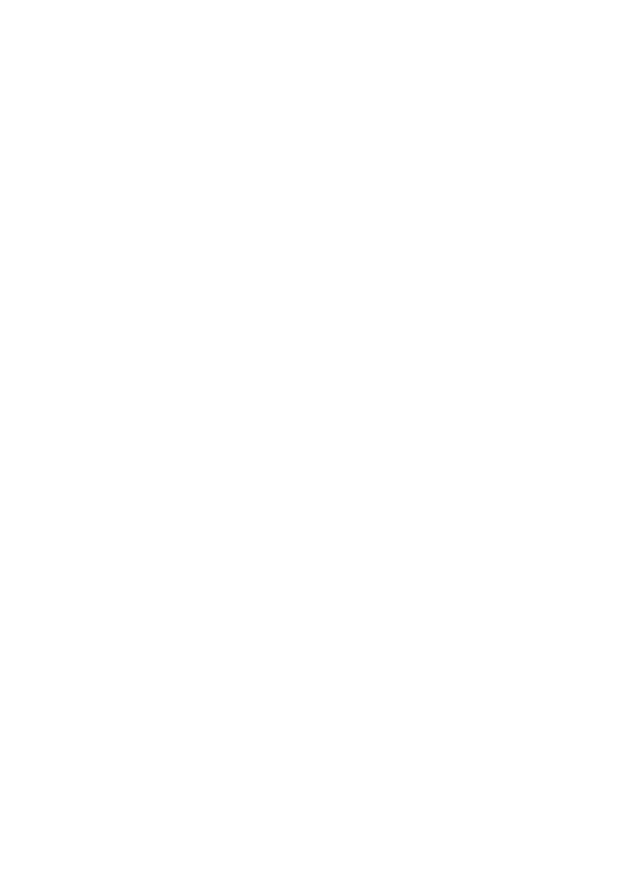| ---- |  |
|------|--|
|      |  |
|      |  |
|      |  |
|      |  |
|      |  |
|      |  |
|      |  |
|      |  |
|      |  |
|      |  |
|      |  |
|      |  |
|      |  |
|      |  |
|      |  |
|      |  |
|      |  |
|      |  |
|      |  |
|      |  |
|      |  |
|      |  |
|      |  |
|      |  |
|      |  |
|      |  |
|      |  |
|      |  |
|      |  |
|      |  |
|      |  |
|      |  |
|      |  |
|      |  |
|      |  |
|      |  |
|      |  |
|      |  |
|      |  |
|      |  |
|      |  |
|      |  |
|      |  |
|      |  |
|      |  |
|      |  |
|      |  |
|      |  |
|      |  |
|      |  |
|      |  |
|      |  |
|      |  |
|      |  |
|      |  |
|      |  |
|      |  |
|      |  |

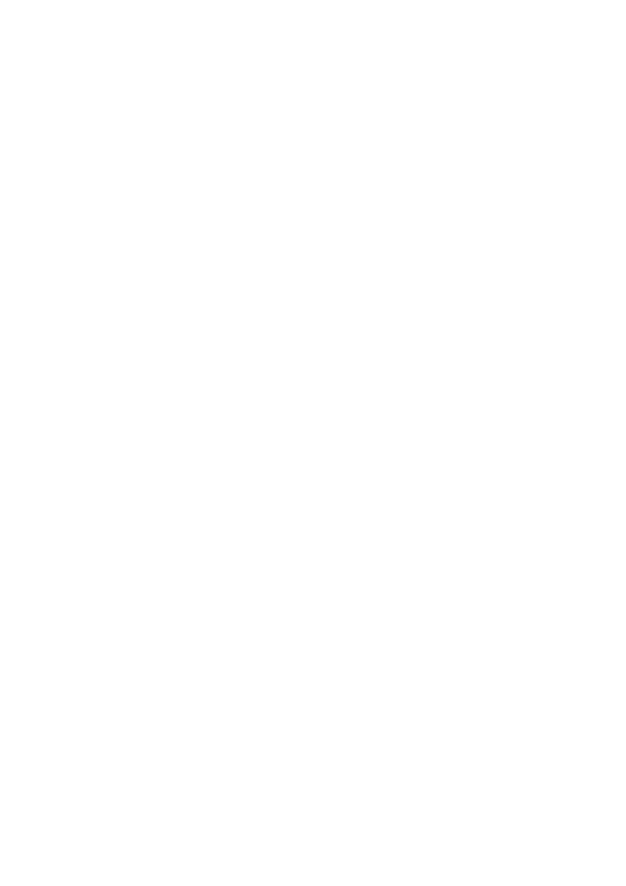| ---- |  |
|------|--|
|      |  |
|      |  |
|      |  |
|      |  |
|      |  |
|      |  |
|      |  |
|      |  |
|      |  |
|      |  |
|      |  |
|      |  |
|      |  |
|      |  |
|      |  |
|      |  |
|      |  |
|      |  |
|      |  |
|      |  |
|      |  |
|      |  |
|      |  |
|      |  |
|      |  |
|      |  |
|      |  |
|      |  |
|      |  |
|      |  |
|      |  |
|      |  |
|      |  |
|      |  |
|      |  |
|      |  |
|      |  |
|      |  |
|      |  |
|      |  |
|      |  |
|      |  |
|      |  |
|      |  |
|      |  |
|      |  |
|      |  |
|      |  |
|      |  |
|      |  |
|      |  |
|      |  |
|      |  |
|      |  |
|      |  |
|      |  |
|      |  |
|      |  |

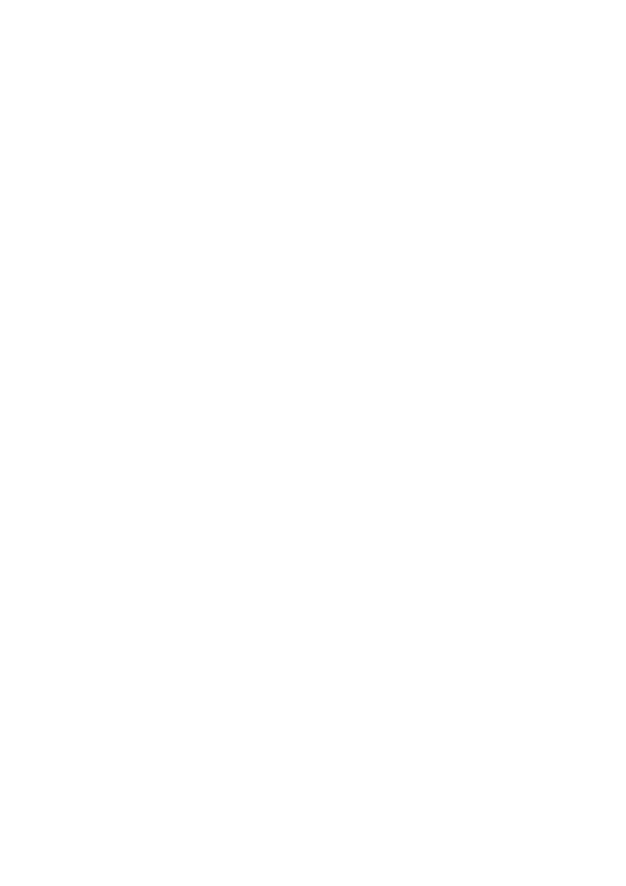| ---- |  |
|------|--|
|      |  |
|      |  |
|      |  |
|      |  |
|      |  |
|      |  |
|      |  |
|      |  |
|      |  |
|      |  |
|      |  |
|      |  |
|      |  |
|      |  |
|      |  |
|      |  |
|      |  |
|      |  |
|      |  |
|      |  |
|      |  |
|      |  |
|      |  |
|      |  |
|      |  |
|      |  |
|      |  |
|      |  |
|      |  |
|      |  |
|      |  |
|      |  |
|      |  |
|      |  |
|      |  |
|      |  |
|      |  |
|      |  |
|      |  |
|      |  |
|      |  |
|      |  |
|      |  |
|      |  |
|      |  |
|      |  |
|      |  |
|      |  |
|      |  |
|      |  |
|      |  |
|      |  |
|      |  |
|      |  |
|      |  |
|      |  |
|      |  |
|      |  |

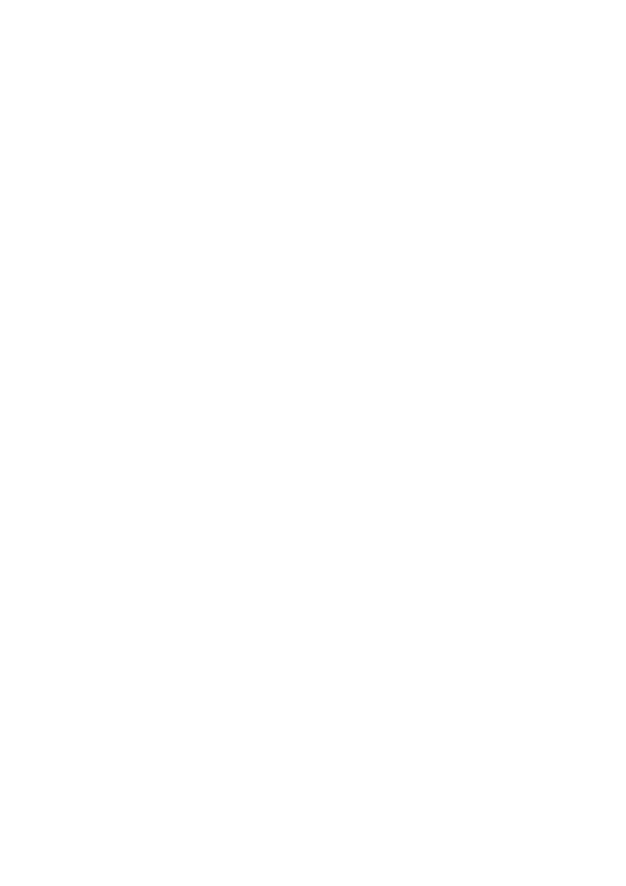| ---- |  |
|------|--|
|      |  |
|      |  |
|      |  |
|      |  |
|      |  |
|      |  |
|      |  |
|      |  |
|      |  |
|      |  |
|      |  |
|      |  |
|      |  |
|      |  |
|      |  |
|      |  |
|      |  |
|      |  |
|      |  |
|      |  |
|      |  |
|      |  |
|      |  |
|      |  |
|      |  |
|      |  |
|      |  |
|      |  |
|      |  |
|      |  |
|      |  |
|      |  |
|      |  |
|      |  |
|      |  |
|      |  |
|      |  |
|      |  |
|      |  |
|      |  |
|      |  |
|      |  |
|      |  |
|      |  |
|      |  |
|      |  |
|      |  |
|      |  |
|      |  |
|      |  |
|      |  |
|      |  |
|      |  |
|      |  |
|      |  |
|      |  |
|      |  |
|      |  |